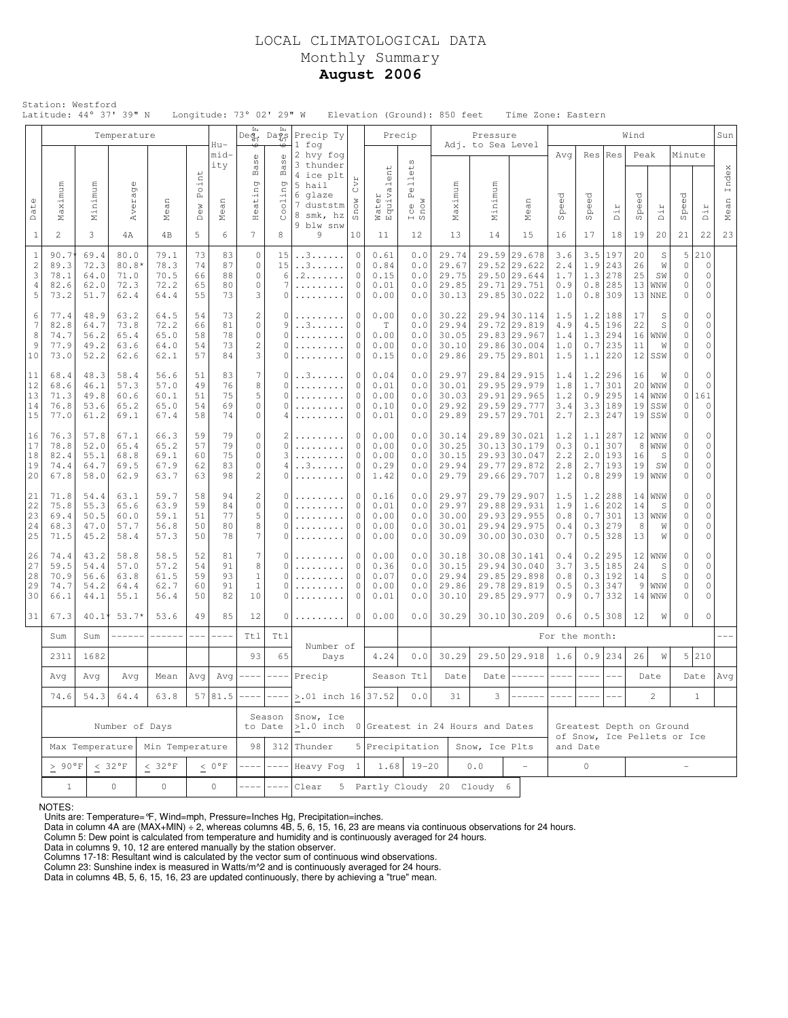# LOCAL CLIMATOLOGICAL DATA Monthly Summary **August 2006**

|                                                        | Station: Westford                                                                     |                                      | Latitude: 44° 37' 39" N                 |                                      |                            |                            | Longitude: 73° 02' 29" W                                           |                                                          |                                                                                    |                                                                                                       |                                      |                                                                          | Elevation (Ground): 850 feet              |                                                                                                                           | Time Zone: Eastern                                                           |                                   |                                  |                                                       |                            |                                             |                                                           |                                                       |               |
|--------------------------------------------------------|---------------------------------------------------------------------------------------|--------------------------------------|-----------------------------------------|--------------------------------------|----------------------------|----------------------------|--------------------------------------------------------------------|----------------------------------------------------------|------------------------------------------------------------------------------------|-------------------------------------------------------------------------------------------------------|--------------------------------------|--------------------------------------------------------------------------|-------------------------------------------|---------------------------------------------------------------------------------------------------------------------------|------------------------------------------------------------------------------|-----------------------------------|----------------------------------|-------------------------------------------------------|----------------------------|---------------------------------------------|-----------------------------------------------------------|-------------------------------------------------------|---------------|
|                                                        |                                                                                       |                                      | Temperature                             |                                      |                            | $Hu-$                      | Ŀц                                                                 | Ŀц<br>Deg, Days                                          | Precip Ty<br>1 fog                                                                 |                                                                                                       |                                      | Precip                                                                   |                                           | Pressure<br>Adj. to Sea Level                                                                                             |                                                                              |                                   |                                  |                                                       | Wind                       |                                             |                                                           |                                                       | Sun           |
| Date                                                   | Maximum                                                                               | Minimum                              | $\mathbb{O}$<br>Averag                  | Mean                                 | Point<br>Dew               | mid-<br>ity<br>Mean        | ₩<br>$_{\rm S}^{\oplus}$<br>$_{\rm B}$<br>ting<br>Hea <sup>-</sup> | ☜<br>Ф<br>S<br>$\mathbb B$<br>ng<br>00111                | 2 hvy fog<br>3 thunder<br>4 ice plt<br>5 hail<br>6 glaze<br>7 duststm<br>8 smk, hz | CVL<br>Snow                                                                                           |                                      | $\omega$<br>$_{\oplus}^{\oplus}$<br>e11<br>$\mathbb{L}$<br>Ice B<br>Snow | Maximum<br>Minimum                        |                                                                                                                           | Mean                                                                         | Avq<br>Speed                      | Res<br>$\vec{C}$<br>Sper         | Res<br>Dir                                            | Peak<br>Speed              | Dir                                         | Minute<br>Speed                                           | Dir                                                   | Index<br>Mean |
| $\mathbf{1}$                                           | $\overline{c}$                                                                        | 3                                    | 4A                                      | 4B                                   | 5                          | 6                          | $\overline{7}$                                                     | 8                                                        | 9 blw snw<br>9                                                                     | 10                                                                                                    | Water<br>Equivalent<br>11            | 12                                                                       | 13                                        | 14                                                                                                                        | 15                                                                           | 16                                | 17                               | 18                                                    | 19                         | 20                                          | 21                                                        | 22                                                    | 23            |
| $\mathbf{1}$<br>$\sqrt{2}$<br>3<br>$\overline{4}$<br>5 | 90.7<br>89.3<br>78.1<br>82.6<br>73.2                                                  | 69.4<br>72.3<br>64.0<br>62.0<br>51.7 | 80.0<br>$80.8*$<br>71.0<br>72.3<br>62.4 | 79.1<br>78.3<br>70.5<br>72.2<br>64.4 | 73<br>74<br>66<br>65<br>55 | 83<br>87<br>88<br>80<br>73 | $\circ$<br>$\circ$<br>$\circ$<br>$\circ$<br>3                      | 15<br>15<br>6<br>7<br>$\Omega$                           | . . 3<br>. . 3<br>. 2<br>.<br>.                                                    | $\circ$<br>$\circ$<br>$\circ$<br>$\circ$<br>$\mathbf{0}$                                              | 0.61<br>0.84<br>0.15<br>0.01<br>0.00 | 0.0<br>0.0<br>0.0<br>0.0<br>0.0                                          |                                           | 29.74<br>29.59 29.678<br>29.67<br>29.52 29.622<br>29.75<br>29.50 29.644<br>29.85<br>29.71 29.751<br>30.13<br>29.85 30.022 |                                                                              | 3.6<br>2.4<br>1.7<br>0.9<br>1.0   | 3.5<br>1.9<br>1.3<br>0.8<br>0.8  | 197<br>243<br>278<br>285<br>309                       | 20<br>26<br>25<br>13<br>13 | $\mathbb S$<br>W<br>SW<br>WNW<br><b>NNE</b> | 5<br>0<br>0<br>0<br>0                                     | 210<br>$\circ$<br>$\circ$<br>$\mathsf{O}\xspace$<br>0 |               |
| 6<br>7<br>8<br>9<br>10                                 | 77.4<br>82.8<br>74.7<br>77.9<br>73.0                                                  | 48.9<br>64.7<br>56.2<br>49.2<br>52.2 | 63.2<br>73.8<br>65.4<br>63.6<br>62.6    | 64.5<br>72.2<br>65.0<br>64.0<br>62.1 | 54<br>66<br>58<br>54<br>57 | 73<br>81<br>78<br>73<br>84 | $\overline{2}$<br>$\circ$<br>$\circ$<br>$\overline{c}$<br>3        | 0<br>9<br>$\Omega$<br>$\Omega$<br>$\Omega$               | .<br>. . 3<br>.<br>.                                                               | 0.00<br>$\mathbf 0$<br>$\mathbf 0$<br>$\mathbf{0}$<br>0.00<br>$\circ$<br>0.00<br>$\mathbf{0}$<br>0.15 |                                      | 0.0<br>0.0<br>0.0<br>0.0<br>0.0                                          | 30.22<br>29.94<br>30.05<br>30.10<br>29.86 |                                                                                                                           | 29.94 30.114<br>29.72 29.819<br>29.83 29.967<br>29.86 30.004<br>29.75 29.801 | 1.5<br>4.9<br>1.4<br>1.0<br>1.5   | 1.2<br>4.5<br>1.3<br>0.71<br>1.1 | 188<br>196<br>294<br>235<br>220                       | 17<br>22<br>16<br>11       | S<br>S<br>WNW<br>W<br>$12$ SSW              | 0<br>0<br>$\mathsf{O}\xspace$<br>$\mathsf{O}\xspace$<br>0 | 0<br>0<br>0<br>0<br>0                                 |               |
| 11<br>12<br>13<br>14<br>15                             | 68.4<br>68.6<br>71.3<br>76.8<br>77.0                                                  | 48.3<br>46.1<br>49.8<br>53.6<br>61.2 | 58.4<br>57.3<br>60.6<br>65.2<br>69.1    | 56.6<br>57.0<br>60.1<br>65.0<br>67.4 | 51<br>49<br>51<br>54<br>58 | 83<br>76<br>75<br>69<br>74 | 7<br>8<br>5<br>$\circ$<br>$\circ$                                  | 0<br>$\Omega$<br>$\Omega$<br>0<br>4                      | . . 3<br>.<br>.<br>.                                                               | 0<br>$\mathbf 0$<br>$\mathbf{0}$<br>$\mathbf{0}$<br>$\circ$                                           |                                      | 0.0<br>0.0<br>0.0<br>0.0<br>0.0                                          | 29.97<br>30.01<br>30.03<br>29.92<br>29.89 |                                                                                                                           | 29.84 29.915<br>29.95 29.979<br>29.91 29.965<br>29.59 29.777<br>29.57 29.701 | 1.4<br>1.8<br>1.2<br>3.4<br>2.7   | 1.2<br>1.7<br>0.9                | 296<br>301<br>295<br>$3.3$ 189<br>$2.3$   247         | 16<br>20<br>14<br>19       | W<br><b>WNW</b><br>WNW<br>SSW<br>$19$ SSW   | 0<br>0<br>0<br>0<br>0                                     | $\circ$<br>$\circ$<br>161<br>$\circ$<br>0             |               |
| 16<br>17<br>18<br>19<br>20                             | 76.3<br>78.8<br>82.4<br>74.4<br>67.8                                                  | 57.8<br>52.0<br>55.1<br>64.7<br>58.0 | 67.1<br>65.4<br>68.8<br>69.5<br>62.9    | 66.3<br>65.2<br>69.1<br>67.9<br>63.7 | 59<br>57<br>60<br>62<br>63 | 79<br>79<br>75<br>83<br>98 | $\circ$<br>$\circ$<br>$\circ$<br>$\circ$<br>$\overline{c}$         | $\overline{c}$<br>$\Omega$<br>3<br>4<br>0                | .<br>.<br>. . 3<br>.                                                               | 0<br>$\circ$<br>$\circ$<br>$\mathbf 0$<br>$\circ$                                                     |                                      | 0.0<br>0.0<br>0.0<br>0.0<br>0.0                                          | 30.14<br>30.25<br>30.15<br>29.94<br>29.79 |                                                                                                                           | 29.89 30.021<br>30.13 30.179<br>29.93 30.047<br>29.77 29.872<br>29.66 29.707 | 1.2<br>0.3<br>2.2<br>2.8<br>1.2   | 1.1<br>0.1                       | 287<br>307<br>$2.0$  193<br>$2.7$   193<br>$0.8$  299 | 8<br>16<br>19              | $12$ WNW<br><b>WNW</b><br>S<br>SW<br>19 WW  | 0<br>0<br>$\mathsf{O}\xspace$<br>0<br>0                   | 0<br>0<br>0<br>0<br>0                                 |               |
| 21<br>22<br>23<br>24<br>25                             | 71.8<br>75.8<br>69.4<br>68.3<br>71.5                                                  | 54.4<br>55.3<br>50.5<br>47.0<br>45.2 | 63.1<br>65.6<br>60.0<br>57.7<br>58.4    | 59.7<br>63.9<br>59.1<br>56.8<br>57.3 | 58<br>59<br>51<br>50<br>50 | 94<br>84<br>77<br>80<br>78 | $\overline{c}$<br>$\circ$<br>5<br>8<br>7                           | 0<br>0<br>$\Omega$<br>$\Omega$<br>$\Omega$               | .<br>.<br>.                                                                        | $\mathbf 0$<br>$\circ$<br>$\circ$<br>$\circ$<br>$\mathbf{0}$                                          | 0.16<br>0.01<br>0.00<br>0.00<br>0.00 | 0.0<br>0.0<br>0.0<br>0.0<br>0.0                                          | 29.97<br>29.97<br>30.00<br>30.01<br>30.09 |                                                                                                                           | 29.79 29.907<br>29.88 29.931<br>29.93 29.955<br>29.94 29.975<br>30.00 30.030 | 1.5<br>1.9<br>0.8<br>0.4<br>0.7   | 1.2<br>1.6<br>0.71<br>0.3        | 288<br>202<br>301<br>279<br>$0.5$ 328                 | 14<br>8<br>13              | 14 WW<br>S<br>$13 $ WNW<br>W<br>W           | 0<br>0<br>$\mathsf{O}\xspace$<br>0<br>0                   | 0<br>0<br>0<br>0<br>0                                 |               |
| 26<br>27<br>28<br>29<br>30                             | 74.4<br>59.5<br>70.9<br>74.7<br>66.1                                                  | 43.2<br>54.4<br>56.6<br>54.2<br>44.1 | 58.8<br>57.0<br>63.8<br>64.4<br>55.1    | 58.5<br>57.2<br>61.5<br>62.7<br>56.4 | 52<br>54<br>59<br>60<br>50 | 81<br>91<br>93<br>91<br>82 | $\overline{7}$<br>8<br>$\mathbf{1}$<br>$\mathbf{1}$<br>10          | $\Omega$<br>$\Omega$<br>$\Omega$<br>$\Omega$<br>$\Omega$ | .                                                                                  | $\circ$<br>$\circ$<br>$\circ$<br>$\mathbf 0$<br>0                                                     |                                      | 0.0<br>0.0<br>0.0<br>0.0<br>0.0                                          | 30.18<br>30.15<br>29.94<br>29.86<br>30.10 |                                                                                                                           | 30.08 30.141<br>29.94 30.040<br>29.85 29.898<br>29.78 29.819<br>29.85 29.977 | $0.4$<br>3.7<br>0.8<br>0.5<br>0.9 | 0.2<br>0.3<br>0.7                | 295<br>$3.5$   185<br>0.3 192<br>347<br>332           | 24<br>14<br>9<br>14        | 12 WW<br>S<br>S<br>WNW<br><b>WNW</b>        | 0<br>0<br>0<br>$\mathsf{O}\xspace$<br>0                   | $\circ$<br>0<br>0<br>0<br>0                           |               |
| 31                                                     | 67.3                                                                                  | $40.1*$                              | $53.7*$                                 | 53.6                                 | 49                         | 85                         | 12                                                                 | 0                                                        | .                                                                                  | 0                                                                                                     | 0.00                                 | 0.0                                                                      | 30.29                                     |                                                                                                                           | 30.10 30.209                                                                 | 0.6                               |                                  | $0.5$  308                                            | 12                         | W                                           | 0                                                         | $\circ$                                               |               |
|                                                        | Sum                                                                                   | Sum                                  | ------                                  | $------ -$                           | $---$                      | $- - - -$                  | Ttl<br>93                                                          | Tt1<br>65                                                | Number of                                                                          |                                                                                                       |                                      |                                                                          | 30.29                                     |                                                                                                                           |                                                                              | For the month:                    |                                  |                                                       |                            | W                                           | 5                                                         |                                                       |               |
|                                                        | 2311<br>Avg                                                                           | 1682<br>Avg                          | Avg                                     | Mean                                 | Avg                        |                            | $Avg$ ----                                                         |                                                          | Days<br>Precip                                                                     |                                                                                                       | 4.24                                 | 0.0<br>Season Ttl                                                        | Date                                      |                                                                                                                           | 29.50 29.918<br>Date $ -----$                                                | 1.6<br>$--- - -$                  | $---$                            | $0.9$ 234<br>$---$                                    | 26                         | Date                                        |                                                           | 210<br>Date Avg                                       |               |
|                                                        | 74.6                                                                                  | 54.3                                 | 64.4                                    | 63.8                                 |                            | 57 81.5                    | $--- - -$                                                          |                                                          | $\left  \right\rangle$ .01 inch 16 37.52                                           |                                                                                                       |                                      | 0.0                                                                      | 31                                        | 3                                                                                                                         |                                                                              |                                   |                                  |                                                       |                            | $\mathbf{2}^{\prime}$                       |                                                           | $\mathbf{1}$                                          |               |
|                                                        |                                                                                       |                                      | Number of Days                          |                                      |                            |                            |                                                                    | Season<br>to Date                                        | Snow, Ice<br>>1.0 inch 0 Greatest in 24 Hours and Dates                            |                                                                                                       |                                      |                                                                          |                                           |                                                                                                                           |                                                                              |                                   | Greatest Depth on Ground         |                                                       |                            |                                             |                                                           |                                                       |               |
|                                                        | Max Temperature                                                                       | Min Temperature                      |                                         |                                      | 98                         |                            | $312$ Thunder                                                      |                                                          | 5 Precipitation                                                                    |                                                                                                       |                                      | Snow, Ice Plts                                                           |                                           | of Snow, Ice Pellets or Ice<br>and Date                                                                                   |                                                                              |                                   |                                  |                                                       |                            |                                             |                                                           |                                                       |               |
|                                                        | $\geq 90^{\circ}$ F<br>< 32°F<br>$< 32 °F$<br>$<\;$ 0 $^{\rm{o}}\rm{F}$               |                                      |                                         |                                      |                            |                            |                                                                    |                                                          | Heavy Fog 1                                                                        |                                                                                                       |                                      | $1.68$ 19-20                                                             |                                           | 0.0                                                                                                                       |                                                                              |                                   | $\circ$                          |                                                       |                            |                                             | $\overline{a}$                                            |                                                       |               |
|                                                        | $\circ$<br>$\circ$<br>$\circ$<br>Clear<br>5 Partly Cloudy 20 Cloudy 6<br>$\mathbf{1}$ |                                      |                                         |                                      |                            |                            |                                                                    |                                                          |                                                                                    |                                                                                                       |                                      |                                                                          |                                           |                                                                                                                           |                                                                              |                                   |                                  |                                                       |                            |                                             |                                                           |                                                       |               |

NOTES:

Units are: Temperature=°F, Wind=mph, Pressure=Inches Hg, Precipitation=inches. Data in column 4A are (MAX+MIN) ÷ 2, whereas columns 4B, 5, 6, 15, 16, 23 are means via continuous observations for 24 hours.

Column 5: Dew point is calculated from temperature and humidity and is continuously averaged for 24 hours. Data in columns 9, 10, 12 are entered manually by the station observer.

Columns 17-18: Resultant wind is calculated by the vector sum of continuous wind observations.<br>Column 23: Sunshine index is measured in Watts/m^2 and is continuously averaged for 24 hours.<br>Data in columns 4B, 5, 6, 15, 16,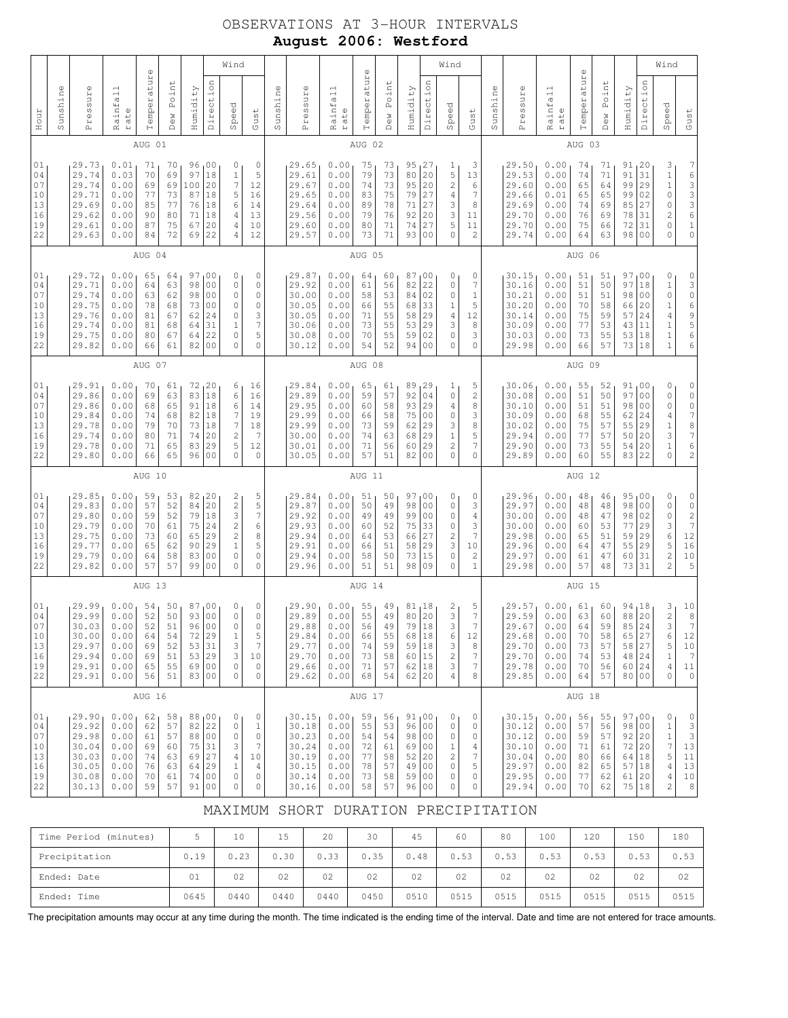# OBSERVATIONS AT 3-HOUR INTERVALS **August 2006: Westford**

|                                              |          | Wind                                                                 |                                                              |                                              |                                              |                                               |                                                                                              |                                                                                                                              |                                                                                  |          |                                                                      |                                                              | $\mathbb U$                                  |                                              |                                                              |                                                                       | Wind                                                                                 |                                                                                        |          |                                                                      |                                                              | $\mathbb O$                                  |                                              |                                                               |                                                                | Wind                                                                                                       |                                                                                                                     |  |  |
|----------------------------------------------|----------|----------------------------------------------------------------------|--------------------------------------------------------------|----------------------------------------------|----------------------------------------------|-----------------------------------------------|----------------------------------------------------------------------------------------------|------------------------------------------------------------------------------------------------------------------------------|----------------------------------------------------------------------------------|----------|----------------------------------------------------------------------|--------------------------------------------------------------|----------------------------------------------|----------------------------------------------|--------------------------------------------------------------|-----------------------------------------------------------------------|--------------------------------------------------------------------------------------|----------------------------------------------------------------------------------------|----------|----------------------------------------------------------------------|--------------------------------------------------------------|----------------------------------------------|----------------------------------------------|---------------------------------------------------------------|----------------------------------------------------------------|------------------------------------------------------------------------------------------------------------|---------------------------------------------------------------------------------------------------------------------|--|--|
| Hour                                         | Sunshine | Pressure                                                             | Rainfall<br>rate                                             | Temperature                                  | Point<br>Dew                                 | Humidity                                      | Direction                                                                                    | Speed                                                                                                                        | Gust                                                                             | Sunshine | Pressure                                                             | Rainfall<br>rate                                             | Temperatur                                   | Point<br><b>Dew</b>                          | Humidity                                                     | Direction                                                             | Speed                                                                                | Gust                                                                                   | Sunshine | Pressure                                                             | Rainfall<br>rate                                             | Temperatur                                   | Point<br>Dew                                 | Humidity                                                      | Direction                                                      | Speed                                                                                                      | Gust                                                                                                                |  |  |
|                                              |          |                                                                      |                                                              | AUG 01                                       |                                              |                                               |                                                                                              |                                                                                                                              |                                                                                  | AUG 02   |                                                                      |                                                              |                                              |                                              |                                                              |                                                                       |                                                                                      |                                                                                        |          | AUG 03                                                               |                                                              |                                              |                                              |                                                               |                                                                |                                                                                                            |                                                                                                                     |  |  |
| 01<br>04<br>07<br>10<br>13<br>16<br>19<br>22 |          | 29.73<br>29.74<br>29.74<br>29.71<br>29.69<br>29.62<br>29.61<br>29.63 | 0.01<br>0.03<br>0.00<br>0.00<br>0.00<br>0.00<br>0.00<br>0.00 | 71<br>70<br>69<br>77<br>85<br>90<br>87<br>84 | 70<br>69<br>69<br>73<br>77<br>80<br>75<br>72 | 96<br>97<br>100<br>87<br>76<br>71<br>67<br>69 | 00<br>18<br>20<br>18<br>18<br>18<br>20<br>22                                                 | 0<br>$1\,$<br>7<br>5<br>6<br>4<br>4<br>4                                                                                     | $\circ$<br>5<br>12<br>16<br>14<br>13<br>10<br>12                                 |          | 29.65<br>29.61<br>29.67<br>29.65<br>29.64<br>29.56<br>29.60<br>29.57 | 0.00<br>0.00<br>0.00<br>0.00<br>0.00<br>0.00<br>0.00<br>0.00 | 75<br>79<br>74<br>83<br>89<br>79<br>80<br>73 | 73<br>73<br>73<br>75<br>78<br>76<br>71<br>71 | 95<br>80<br>95<br>79<br>71<br>92<br>74<br>93                 | 27 ا<br>20<br>20<br>27<br>27<br>20<br>27<br>0 <sub>0</sub>            | ı<br>$\mathsf S$<br>$\sqrt{2}$<br>$\,4\,$<br>3<br>3<br>5<br>$\circ$                  | 3<br>13<br>6<br>$\boldsymbol{7}$<br>8<br>11<br>11<br>$\overline{c}$                    |          | 29.50<br>29.53<br>29.60<br>29.66<br>29.69<br>29.70<br>29.70<br>29.74 | 0.00<br>0.00<br>0.00<br>0.01<br>0.00<br>0.00<br>0.00<br>0.00 | 74<br>74<br>65<br>65<br>74<br>76<br>75<br>64 | 71<br>71<br>64<br>65<br>69<br>69<br>66<br>63 | 91, 20<br>91<br>99<br>99<br>85<br>78<br>72<br>98              | 31<br>29<br>02<br>27<br>31<br>31<br>0 <sub>0</sub>             | 3<br>$\mathbf 1$<br>$\,1\,$<br>$\circ$<br>$\mathbb O$<br>$\overline{\mathbf{c}}$<br>$\circ$<br>$\mathbf 0$ | 76336<br>$\mathbf 1$<br>$\mathsf{O}\xspace$                                                                         |  |  |
|                                              |          |                                                                      |                                                              | AUG 04                                       |                                              |                                               |                                                                                              |                                                                                                                              |                                                                                  |          |                                                                      |                                                              | AUG 05                                       |                                              |                                                              |                                                                       |                                                                                      |                                                                                        |          |                                                                      |                                                              | AUG 06                                       |                                              |                                                               |                                                                |                                                                                                            |                                                                                                                     |  |  |
| 01<br>04<br>07<br>10<br>13<br>16<br>19<br>22 |          | 29.72<br>29.71<br>29.74<br>29.75<br>29.76<br>29.74<br>29.75<br>29.82 | 0.00<br>0.00<br>0.00<br>0.00<br>0.00<br>0.00<br>0.00<br>0.00 | 65<br>64<br>63<br>78<br>81<br>81<br>80<br>66 | 64<br>63<br>62<br>68<br>67<br>68<br>67<br>61 | 97<br>98<br>98<br>73<br>62<br>64<br>64<br>82  | 00<br>0 <sub>0</sub><br>0 <sub>0</sub><br>0 <sub>0</sub><br>24<br>31<br>22<br>0 <sub>0</sub> | 0<br>$\mathbb O$<br>0<br>0<br>0<br>$\mathbf 1$<br>$\mathbb O$<br>$\mathbb O$                                                 | $\mathbb O$<br>$\circ$<br>0<br>0<br>3<br>$\overline{7}$<br>5<br>0                |          | 29.87<br>29.92<br>30.00<br>30.05<br>30.05<br>30.06<br>30.08<br>30.12 | 0.00<br>0.00<br>0.00<br>0.00<br>0.00<br>0.00<br>0.00<br>0.00 | 64<br>61<br>58<br>66<br>71<br>73<br>70<br>54 | 60<br>56<br>53<br>55<br>55<br>55<br>55<br>52 | 87<br>82<br>84<br>68<br>58<br>53<br>59<br>94                 | , 00<br>22<br>02<br>33<br>29<br>29<br>02<br>0 <sup>0</sup>            | 0<br>$\mathbb O$<br>$\mathbb O$<br>$1\,$<br>$\sqrt{4}$<br>3<br>$\mathbf 0$<br>0      | 0<br>7<br>$\mathbf 1$<br>5<br>12<br>8<br>3<br>$\mathbb O$                              |          | 30.15<br>30.16<br>30.21<br>30.20<br>30.14<br>30.09<br>30.03<br>29.98 | 0.00<br>0.00<br>0.00<br>0.00<br>0.00<br>0.00<br>0.00<br>0.00 | 51<br>51<br>51<br>70<br>75<br>77<br>73<br>66 | 51<br>50<br>51<br>58<br>59<br>53<br>55<br>57 | 97<br>97<br>98<br>66<br>57<br>43<br>53<br>73                  | ,00<br>18<br>0 <sub>0</sub><br>20<br>24<br>11<br>18<br> 18     | $\mathbb O$<br>$\,1\,$<br>$\circ$<br>$\mathbf 1$<br>$\overline{4}$<br>$\mathbf{1}$<br>1<br>$\mathbf{1}$    | $\mathsf{O}\xspace$<br>3<br>$\circ$<br>$\overline{6}$<br>9<br>5<br>6<br>6                                           |  |  |
|                                              | AUG 07   |                                                                      |                                                              |                                              |                                              |                                               |                                                                                              |                                                                                                                              |                                                                                  |          | AUG 08                                                               |                                                              |                                              |                                              |                                                              |                                                                       |                                                                                      |                                                                                        |          | AUG 09                                                               |                                                              |                                              |                                              |                                                               |                                                                |                                                                                                            |                                                                                                                     |  |  |
| 01<br>04<br>07<br>10<br>13<br>16<br>19<br>22 |          | 29.91<br>29.86<br>29.86<br>29.84<br>29.78<br>29.74<br>29.78<br>29.80 | 0.00<br>0.00<br>0.00<br>0.00<br>0.00<br>0.00<br>0.00<br>0.00 | 70<br>69<br>68<br>74<br>79<br>80<br>71<br>66 | 61<br>63<br>65<br>68<br>70<br>71<br>65<br>65 | 83<br>82<br>73<br>74<br>83<br>96              | 72, 20<br>18<br>91 18<br>18<br>18<br>20<br>29<br>0 <sub>0</sub>                              | 6<br>6<br>6<br>7<br>7<br>$\sqrt{2}$<br>5<br>$\mathbf 0$                                                                      | 16<br>16<br>14<br>19<br>18<br>7<br>12<br>0                                       |          | 29.84<br>29.89<br>29.95<br>29.99<br>29.99<br>30.00<br>30.01<br>30.05 | 0.00<br>0.00<br>0.00<br>0.00<br>0.00<br>0.00<br>0.00<br>0.00 | 65<br>59<br>60<br>66<br>73<br>74<br>71<br>57 | 61<br>57<br>58<br>58<br>59<br>63<br>56<br>51 | 89<br>92<br>93<br>75<br>62<br>68<br>60<br>82                 | 129<br>04<br>29<br>0 <sub>0</sub><br>29<br>29<br>29<br>0 <sub>0</sub> | 1<br>$\mathbb O$<br>$\overline{4}$<br>0<br>3<br>$\mathbf 1$<br>$\sqrt{2}$<br>0       | 5<br>$\sqrt{2}$<br>8<br>3<br>8<br>5<br>7<br>$\mathbf{0}$                               |          | 30.06<br>30.08<br>30.10<br>30.09<br>30.02<br>29.94<br>29.90<br>29.89 | 0.00<br>0.00<br>0.00<br>0.00<br>0.00<br>0.00<br>0.00<br>0.00 | 55<br>51<br>51<br>68<br>75<br>77<br>73<br>60 | 52<br>50<br>51<br>55<br>57<br>57<br>55<br>55 | 91,00<br>97<br>98<br>62<br>55<br>50<br>54<br>83               | 0 <sub>0</sub><br>0 <sub>0</sub><br>24<br>29<br>20<br>20<br>22 | 0<br>$\mathbb O$<br>$\circ$<br>$\overline{4}$<br>$\mathbf 1$<br>3<br>$\mathbf 1$<br>$\mathbf 0$            | $\begin{matrix} 0 \\ 0 \end{matrix}$<br>$\circ$<br>$\boldsymbol{7}$<br>8<br>$\boldsymbol{7}$<br>6<br>$\overline{c}$ |  |  |
|                                              |          |                                                                      |                                                              | AUG 10                                       |                                              |                                               |                                                                                              |                                                                                                                              |                                                                                  |          |                                                                      |                                                              | AUG 11                                       |                                              |                                                              |                                                                       |                                                                                      |                                                                                        |          |                                                                      |                                                              | AUG 12                                       |                                              |                                                               |                                                                |                                                                                                            |                                                                                                                     |  |  |
| 01<br>04<br>07<br>10<br>13<br>16<br>19<br>22 |          | 29.85<br>29.83<br>29.80<br>29.79<br>29.75<br>29.77<br>29.79<br>29.82 | 0.00<br>0.00<br>0.00<br>0.00<br>0.00<br>0.00<br>0.00<br>0.00 | 59<br>57<br>59<br>70<br>73<br>65<br>64<br>57 | 53<br>52<br>52<br>61<br>60<br>62<br>58<br>57 | 84<br>79<br>65<br>90<br>83<br>99              | 82, 20<br>20<br>18<br>75 24<br>29<br>29<br>0 <sub>0</sub><br>00                              | $\begin{array}{c} 2 \\ 2 \\ 3 \end{array}$<br>$\overline{c}$<br>$\overline{c}$<br>$\mathbf{1}$<br>$\mathbb O$<br>$\mathbf 0$ | 5<br>5<br>$\boldsymbol{7}$<br>6<br>8<br>5<br>0<br>0                              |          | 29.84<br>29.87<br>29.92<br>29.93<br>29.94<br>29.91<br>29.94<br>29.96 | 0.00<br>0.00<br>0.00<br>0.00<br>0.00<br>0.00<br>0.00<br>0.00 | 51<br>50<br>49<br>60<br>64<br>66<br>58<br>51 | 50<br>49<br>49<br>52<br>53<br>51<br>50<br>51 | 97,00<br>98<br>99<br>75<br>66<br>58<br>73<br>98              | 0 <sub>0</sub><br>0 <sub>0</sub><br>33<br>27<br>29<br>15<br>09        | 0<br>0<br>0<br>$\mathbb O$<br>$\sqrt{2}$<br>3<br>$\mathbb O$<br>0                    | 0<br>3<br>$\overline{4}$<br>3<br>$\overline{7}$<br>10<br>$\overline{c}$<br>$\mathbf 1$ |          | 29.96<br>29.97<br>30.00<br>30.00<br>29.98<br>29.96<br>29.97<br>29.98 | 0.00<br>0.00<br>0.00<br>0.00<br>0.00<br>0.00<br>0.00<br>0.00 | 48<br>48<br>48<br>60<br>65<br>64<br>61<br>57 | 46<br>48<br>47<br>53<br>51<br>47<br>47<br>48 | 95,00<br>98<br>98<br>77<br>59<br>55<br>60<br>73 31            | 0 <sub>0</sub><br>02<br>29<br>29<br>29<br>31                   | 0<br>$\mathbb O$<br>$\mathbb O$<br>3<br>$6\,$<br>5<br>$\overline{c}$<br>$\overline{2}$                     | $\begin{array}{c} 0 \\ 0 \\ 2 \\ 7 \end{array}$<br>$1\,2$<br>16<br>10<br>5                                          |  |  |
|                                              |          |                                                                      |                                                              | AUG 13                                       |                                              |                                               |                                                                                              |                                                                                                                              |                                                                                  |          |                                                                      |                                                              | AUG 14                                       |                                              |                                                              |                                                                       |                                                                                      |                                                                                        |          |                                                                      |                                                              | AUG 15                                       |                                              |                                                               |                                                                |                                                                                                            |                                                                                                                     |  |  |
| 01<br>04<br>07<br>10<br>13<br>16<br>19<br>22 |          | 29.99<br>29.99<br>30.03<br>30.00<br>29.97<br>29.94<br>29.91<br>29.91 | 0.00<br>0.00<br>0.00<br>0.00<br>0.00<br>0.00<br>0.00<br>0.00 | 54<br>52<br>52<br>64<br>69<br>69<br>65<br>56 | 50<br>50<br>51<br>54<br>52<br>51<br>55<br>51 | 87<br>93<br>96<br>72                          | 100<br>0 <sub>0</sub><br>0 <sub>0</sub><br>29<br>53 31<br>53 29<br>69 00<br>83 00            | 0<br>$\mathbb O$<br>$\mathbb O$<br>1<br>3<br>3<br>0<br>0                                                                     | 0<br>$\mathbb O$<br>$\mathbf 0$<br>5<br>$\overline{7}$<br>10<br>$\mathbb O$<br>0 |          | 29.90<br>29.89<br>29.88<br>29.84<br>29.77<br>29.70<br>29.66<br>29.62 | 0.00<br>0.00<br>0.00<br>0.00<br>0.00<br>0.00<br>0.00<br>0.00 | 55<br>55<br>56<br>66<br>74<br>73<br>71<br>68 | 49<br>49<br>49<br>55<br>59<br>58<br>57<br>54 | 81,18<br>80<br>79<br>68<br>59<br>60 15<br>62 18<br>$62$   20 | 20<br>18<br> 18<br> 18                                                | $\overline{\mathbf{c}}$<br>3<br>3<br>6<br>3<br>$\sqrt{2}$<br>3<br>$\overline{4}$     | 5<br>7<br>7<br>12<br>8<br>7<br>$\overline{7}$<br>8                                     |          | 29.57<br>29.59<br>29.67<br>29.68<br>29.70<br>29.70<br>29.78<br>29.85 | 0.00<br>0.00<br>0.00<br>0.00<br>0.00<br>0.00<br>0.00<br>0.00 | 61<br>63<br>64<br>70<br>73<br>74<br>70<br>64 | 60<br>60<br>59<br>58<br>57<br>53<br>56<br>57 | 94,18<br>88<br>85<br>65<br>58<br>48 24<br>60 24<br>80 00      | 20<br>24<br>27<br>27                                           | 3<br>$\overline{\mathbf{c}}$<br>3<br>6<br>5<br>$\mathbf 1$<br>4<br>0                                       | $\begin{bmatrix} 1 \ 0 \\ 8 \\ 7 \end{bmatrix}$<br>12<br>10<br>$7\phantom{.0}$<br>11<br>$\circ$                     |  |  |
|                                              |          |                                                                      |                                                              | AUG 16                                       |                                              |                                               |                                                                                              |                                                                                                                              |                                                                                  | AUG 17   |                                                                      |                                                              |                                              |                                              |                                                              | AUG 18                                                                |                                                                                      |                                                                                        |          |                                                                      |                                                              |                                              |                                              |                                                               |                                                                |                                                                                                            |                                                                                                                     |  |  |
| 01<br>04<br>07<br>10<br>13<br>16<br>19<br>22 |          | 29.90<br>29.92<br>29.98<br>30.04<br>30.03<br>30.05<br>30.08<br>30.13 | 0.00<br>0.00<br>0.00<br>0.00<br>0.00<br>0.00<br>0.00<br>0.00 | 62<br>62<br>61<br>69<br>74<br>76<br>70<br>59 | 58<br>57<br>57<br>60<br>63<br>63<br>61<br>57 | 88<br>82<br>88                                | 00<br>22<br>00<br>75 31<br>69 27<br>64 29<br>74 00<br>91 00                                  | 0<br>$\mathbb O$<br>$\mathbb O$<br>3<br>$\overline{4}$<br>$\mathbf 1$<br>0<br>0                                              | $\mathbb O$<br>$\mathbf{1}$<br>$\circ$<br>7<br>10<br>$\overline{4}$<br>0<br>0    |          | 30.15<br>30.18<br>30.23<br>30.24<br>30.19<br>30.15<br>30.14<br>30.16 | 0.00<br>0.00<br>0.00<br>0.00<br>0.00<br>0.00<br>0.00<br>0.00 | 59<br>55<br>54<br>72<br>77<br>78<br>73<br>58 | 56<br>53<br>54<br>61<br>58<br>57<br>58<br>57 | 91,00<br>96<br>98<br>69<br>52<br>49<br>59<br>96 00           | 00<br>00<br>00<br>20<br>00<br>00                                      | 0<br>$\mathsf{O}\xspace$<br>0<br>$\mathbf{1}$<br>$\sqrt{2}$<br>$\mathbb O$<br>0<br>0 | 0<br>0<br>0<br>4<br>7<br>5<br>0<br>0                                                   |          | 30.15<br>30.12<br>30.12<br>30.10<br>30.04<br>29.97<br>29.95<br>29.94 | 0.00<br>0.00<br>0.00<br>0.00<br>0.00<br>0.00<br>0.00<br>0.00 | 56<br>57<br>59<br>71<br>80<br>82<br>77<br>70 | 55<br>56<br>57<br>61<br>66<br>65<br>62<br>62 | 97,00<br>98<br>92<br>72<br>64   18<br>57 18<br>61 20<br>75 18 | 00<br>20<br>20                                                 | 0<br>$1\,$<br>$1\,$<br>$\overline{7}$<br>5<br>$\overline{4}$<br>4<br>2                                     | 0<br>3<br>3<br>13<br>11<br>13<br>10<br>8                                                                            |  |  |

### MAXIMUM SHORT DURATION PRECIPITATION

| Time Period<br>(minutes) |      | 10   | 15   | 20   | 30   | 45   | 60   | 80   | 100  | 120  | 150  | 180  |
|--------------------------|------|------|------|------|------|------|------|------|------|------|------|------|
| Precipitation            | 0.19 | 0.23 | 0.30 | 0.33 | 0.35 | 0.48 | 0.53 | 0.53 | 0.53 | 0.53 | 0.53 | 0.53 |
| Ended: Date              | 01   | 02   | 02   | 02   | 02   | 02   | 02   | 02   | 02   | 02   | 02   | 02   |
| Ended: Time              | 0645 | 0440 | 0440 | 0440 | 0450 | 0510 | 0515 | 0515 | 0515 | 0515 | 0515 | 0515 |

The precipitation amounts may occur at any time during the month. The time indicated is the ending time of the interval. Date and time are not entered for trace amounts.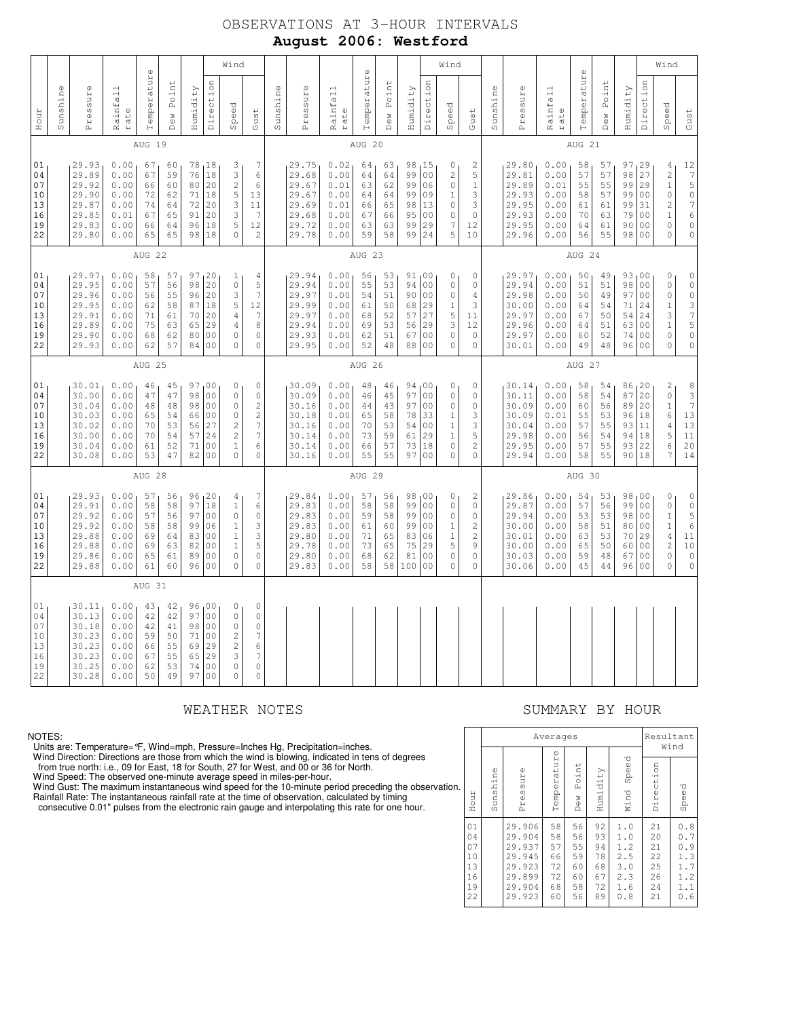# OBSERVATIONS AT 3-HOUR INTERVALS **August 2006: Westford**

| Sunshine                                     | Pressure                                                             |                                                              | Rainfall<br>rate                             | $\mathbb U$<br>Temperatur                    | Point                                                     | Humidity                                                                                                     | Direction                                                                                                                                                                                                | Wind<br>Speed | Sunshine | Pressure                                                             | Rainfall<br>rate                                             | $\omega$<br>Temperatur                       | Point                                        | Humidity                                      | Direction                                                                                                  | Speed                                                                                            | Wind                                                                              | Sunshine | Pressure                                                             | Rainfall                                                     | $\circ$<br>Temperatur                        | Point                                        | Humidity                                     | Direction                                                                                                             | Wind<br>Speed                                                                                                   |
|----------------------------------------------|----------------------------------------------------------------------|--------------------------------------------------------------|----------------------------------------------|----------------------------------------------|-----------------------------------------------------------|--------------------------------------------------------------------------------------------------------------|----------------------------------------------------------------------------------------------------------------------------------------------------------------------------------------------------------|---------------|----------|----------------------------------------------------------------------|--------------------------------------------------------------|----------------------------------------------|----------------------------------------------|-----------------------------------------------|------------------------------------------------------------------------------------------------------------|--------------------------------------------------------------------------------------------------|-----------------------------------------------------------------------------------|----------|----------------------------------------------------------------------|--------------------------------------------------------------|----------------------------------------------|----------------------------------------------|----------------------------------------------|-----------------------------------------------------------------------------------------------------------------------|-----------------------------------------------------------------------------------------------------------------|
| Hour                                         |                                                                      |                                                              | AUG 19                                       | Dew                                          |                                                           |                                                                                                              |                                                                                                                                                                                                          |               | Gust     |                                                                      |                                                              |                                              | Dew<br>AUG 20                                |                                               |                                                                                                            |                                                                                                  | Gust                                                                              |          |                                                                      | rate                                                         |                                              | Dew<br>AUG 21                                |                                              |                                                                                                                       |                                                                                                                 |
| 01<br>04<br>07<br>10<br>13<br>16<br>19<br>22 | 29.93<br>29.89<br>29.92<br>29.90<br>29.87<br>29.85<br>29.83<br>29.80 | 0.00<br>0.00<br>0.00<br>0.00<br>0.00<br>0.01<br>0.00<br>0.00 | 67<br>67<br>66<br>72<br>74<br>67<br>66<br>65 | 60<br>59<br>60<br>62<br>64<br>65<br>64<br>65 | 78<br>76<br>80<br>71<br>72<br>91<br>96<br>98              | 18<br>18<br>20<br>18<br>20<br>20<br>18<br>18                                                                 | 7<br>3<br>3<br>6<br>$\overline{c}$<br>6<br>5<br>13<br>3<br>11<br>3<br>7<br>5<br>12<br>$\circ$<br>$\overline{c}$                                                                                          |               |          | 29.75<br>29.68<br>29.67<br>29.67<br>29.69<br>29.68<br>29.72<br>29.78 | 0.02<br>0.00<br>0.01<br>0.00<br>0.01<br>0.00<br>0.00<br>0.00 | 64<br>64<br>63<br>64<br>66<br>67<br>63<br>59 | 63<br>64<br>62<br>64<br>65<br>66<br>63<br>58 | 98<br>99<br>99<br>99<br>98<br>95<br>99<br>99  | 15<br>0 <sub>0</sub><br>06<br>09<br>13<br>0 <sup>0</sup><br>29<br>24                                       | 0<br>$\mathbf{2}$<br>$\mathbb O$<br>$\mathbf 1$<br>0<br>$\circ$<br>7<br>5                        | 2<br>5<br>$1\,$<br>3<br>3<br>$\circ$<br>12<br>10                                  |          | 29.80<br>29.81<br>29.89<br>29.93<br>29.95<br>29.93<br>29.95<br>29.96 | 0.00<br>0.00<br>0.01<br>0.00<br>0.00<br>0.00<br>0.00<br>0.00 | 58<br>57<br>55<br>58<br>61<br>70<br>64<br>56 | 57<br>57<br>55<br>57<br>61<br>63<br>61<br>55 | 98<br>99<br>99<br>99<br>79<br>90             | 97,29<br>27<br>29<br>0 <sub>0</sub><br>31<br>0 <sub>0</sub><br>0 <sub>0</sub><br>98 00                                | 4<br>$\sqrt{2}$<br>$\mathbf 1$<br>$\mathbb O$<br>$\overline{c}$<br>$\mathbf 1$<br>$\mathbb O$<br>$\circ$        |
|                                              |                                                                      |                                                              | AUG 22                                       |                                              |                                                           |                                                                                                              |                                                                                                                                                                                                          |               |          |                                                                      |                                                              |                                              | AUG 23                                       |                                               |                                                                                                            |                                                                                                  |                                                                                   |          |                                                                      |                                                              |                                              | AUG 24                                       |                                              |                                                                                                                       |                                                                                                                 |
| 01<br>04<br>07<br>10<br>13<br>16<br>19<br>22 | 29.97<br>29.95<br>29.96<br>29.95<br>29.91<br>29.89<br>29.90<br>29.93 | 0.00<br>0.00<br>0.00<br>0.00<br>0.00<br>0.00<br>0.00<br>0.00 | 58<br>57<br>56<br>62<br>71<br>75<br>68<br>62 | 57<br>56<br>55<br>58<br>61<br>63<br>62<br>57 | 97 <sub>1</sub><br>98<br>96<br>87<br>70<br>65<br>80<br>84 | 20<br>20<br>20<br>18<br>20<br>29<br>0 <sub>0</sub><br>0 <sub>0</sub>                                         | 4<br>1<br>5<br>$\mathbb O$<br>$\overline{7}$<br>3<br>5<br>12<br>7<br>4<br>8<br>4<br>$\circ$<br>$\mathbb O$<br>0<br>0                                                                                     |               |          | 29.94<br>29.94<br>29.97<br>29.99<br>29.97<br>29.94<br>29.93<br>29.95 | 0.00<br>0.00<br>0.00<br>0.00<br>0.00<br>0.00<br>0.00<br>0.00 | 56<br>55<br>54<br>61<br>68<br>69<br>62<br>52 | 53<br>53<br>51<br>50<br>52<br>53<br>51<br>48 | 94<br>90<br>68<br>57<br>56<br>67<br>88        | 91,00<br>0 <sub>0</sub><br>0 <sub>0</sub><br>29<br>27<br>29<br>0 <sub>0</sub><br>0 <sub>0</sub>            | 0<br>$\mathbb O$<br>$\mathbb O$<br>$1\,$<br>5<br>3<br>$\mathbb O$<br>0                           | 0<br>$\mathbb O$<br>$\overline{4}$<br>3<br>11<br>12<br>$\mathbf 0$<br>$\mathbb O$ |          | 29.97<br>29.94<br>29.98<br>30.00<br>29.97<br>29.96<br>29.97<br>30.01 | 0.00<br>0.00<br>0.00<br>0.00<br>0.00<br>0.00<br>0.00<br>0.00 | 50<br>51<br>50<br>64<br>67<br>64<br>60<br>49 | 49<br>51<br>49<br>54<br>50<br>51<br>52<br>48 | 98<br>97<br>71<br>54<br>63<br>74             | 93,00<br>0 <sub>0</sub><br>0 <sub>0</sub><br>24<br>24<br>0 <sub>0</sub><br>0 <sub>0</sub><br>96<br>0 <sub>0</sub>     | $\mathbb O$<br>$\mathbb O$<br>$\circ$<br>$\mathbf{1}$<br>3<br>$\mathbf{1}$<br>$\mathbb O$<br>$\circ$            |
|                                              | AUG 25                                                               |                                                              |                                              |                                              |                                                           |                                                                                                              |                                                                                                                                                                                                          |               |          |                                                                      |                                                              | AUG 26                                       |                                              |                                               |                                                                                                            |                                                                                                  |                                                                                   |          |                                                                      |                                                              | AUG 27                                       |                                              |                                              |                                                                                                                       |                                                                                                                 |
| 01<br>04<br>07<br>10<br>13<br>16<br>19<br>22 | 30.01<br>30.00<br>30.04<br>30.03<br>30.02<br>30.00<br>30.04<br>30.08 | 0.00<br>0.00<br>0.00<br>0.00<br>0.00<br>0.00<br>0.00<br>0.00 | 46<br>47<br>48<br>65<br>70<br>70<br>61<br>53 | 45<br>47<br>48<br>54<br>53<br>54<br>52<br>47 | 98<br>98<br>66<br>56<br>57<br>71<br>82                    | 97,00<br>0 <sub>0</sub><br>0 <sub>0</sub><br>0 <sub>0</sub><br>27<br>24<br>0 <sub>0</sub><br>0 <sub>0</sub>  | 0<br>$\mathbb O$<br>$\circ$<br>0<br>$\overline{c}$<br>0<br>$\overline{c}$<br>0<br>$\overline{\phantom{a}}$<br>$\overline{c}$<br>$\overline{\phantom{a}}$<br>$\overline{c}$<br>6<br>$\mathbf 1$<br>0<br>0 |               |          | 30.09<br>30.09<br>30.16<br>30.18<br>30.16<br>30.14<br>30.14<br>30.16 | 0.00<br>0.00<br>0.00<br>0.00<br>0.00<br>0.00<br>0.00<br>0.00 | 48<br>46<br>44<br>65<br>70<br>73<br>66<br>55 | 46<br>45<br>43<br>58<br>53<br>59<br>57<br>55 | 94<br>97<br>97<br>78<br>54<br>61<br>73<br>97  | 100<br>0 <sub>0</sub><br>0 <sub>0</sub><br>33<br>0 <sub>0</sub><br>29<br>18<br>0 <sub>0</sub>              | $\mathbb O$<br>$\mathbb O$<br>$\mathbf 0$<br>$\mathbf{1}$<br>$\,1\,$<br>1<br>$\circ$<br>$\circ$  | $\mathbf 0$<br>0<br>0<br>3<br>3<br>5<br>$\overline{c}$<br>$\circ$                 |          | 30.14<br>30.11<br>30.09<br>30.09<br>30.04<br>29.98<br>29.95<br>29.94 | 0.00<br>0.00<br>0.00<br>0.01<br>0.00<br>0.00<br>0.00<br>0.00 | 58<br>58<br>60<br>55<br>57<br>56<br>57<br>58 | 54<br>54<br>56<br>53<br>55<br>54<br>55<br>55 | 87<br>89<br>96<br>93<br>94<br>93             | 86, 20<br>20<br>20<br>18<br>11<br>18<br>22<br>90118                                                                   | $\sqrt{2}$<br>$\mathbb O$<br>$\mathbf{1}$<br>6<br>4<br>5<br>6<br>7                                              |
|                                              |                                                                      |                                                              | AUG 28                                       |                                              |                                                           |                                                                                                              |                                                                                                                                                                                                          |               |          |                                                                      |                                                              |                                              | AUG 29                                       |                                               |                                                                                                            |                                                                                                  |                                                                                   |          |                                                                      |                                                              |                                              | AUG 30                                       |                                              |                                                                                                                       |                                                                                                                 |
| 01<br>04<br>07<br>10<br>13<br>16<br>19<br>22 | 29.93<br>29.91<br>29.92<br>29.92<br>29.88<br>29.88<br>29.86<br>29.88 | 0.00<br>0.00<br>0.00<br>0.00<br>0.00<br>0.00<br>0.00<br>0.00 | 57<br>58<br>57<br>58<br>69<br>69<br>65<br>61 | 56<br>58<br>56<br>58<br>64<br>63<br>61<br>60 | 97<br>97<br>99<br>83<br>82<br>89<br>96                    | 96, 20<br>18<br>0 <sub>0</sub><br>06<br>0 <sub>0</sub><br>0 <sub>0</sub><br>0 <sub>0</sub><br>0 <sub>0</sub> | 7<br>4<br>$1\,$<br>6<br>0<br>0<br>3<br>$\mathbf 1$<br>3<br>$\mathbf 1$<br>5<br>$\mathbf{1}$<br>0<br>$\mathbf 0$<br>$\overline{0}$<br>0                                                                   |               |          | 29.84<br>29.83<br>29.83<br>29.83<br>29.80<br>29.78<br>29.80<br>29.83 | 0.00<br>0.00<br>0.00<br>0.00<br>0.00<br>0.00<br>0.00<br>0.00 | 57<br>58<br>59<br>61<br>71<br>73<br>68<br>58 | 56<br>58<br>58<br>60<br>65<br>65<br>62<br>58 | 98<br>99<br>99<br>99<br>83<br>75<br>81<br>100 | 00 ا<br>0 <sub>0</sub><br>0 <sub>0</sub><br>0 <sub>0</sub><br>06<br>29<br>0 <sub>0</sub><br>0 <sub>0</sub> | 0<br>$\mathsf{O}\xspace$<br>$\mathbb O$<br>$\mathbf 1$<br>$\mathbf 1$<br>5<br>$\circ$<br>$\circ$ | 2<br>$\mathbb O$<br>0<br>$\overline{2}$<br>$\sqrt{2}$<br>9<br>$\circ$<br>$\circ$  |          | 29.86<br>29.87<br>29.94<br>30.00<br>30.01<br>30.00<br>30.03<br>30.06 | 0.00<br>0.00<br>0.00<br>0.00<br>0.00<br>0.00<br>0.00<br>0.00 | 54<br>57<br>53<br>58<br>63<br>65<br>59<br>45 | 53<br>56<br>53<br>51<br>53<br>50<br>48<br>44 | 98<br>99<br>98<br>80<br>70<br>60<br>67<br>96 | 100<br>0 <sub>0</sub><br>0 <sub>0</sub><br>0 <sub>0</sub><br>29<br>0 <sub>0</sub><br>0 <sub>0</sub><br>0 <sub>0</sub> | $\circ$<br>$\mathbb O$<br>$\mathbf 1$<br>$\mathbf{1}$<br>$\overline{4}$<br>$\sqrt{2}$<br>$\mathbb O$<br>$\circ$ |
|                                              |                                                                      |                                                              | AUG 31                                       |                                              |                                                           |                                                                                                              |                                                                                                                                                                                                          |               |          |                                                                      |                                                              |                                              |                                              |                                               |                                                                                                            |                                                                                                  |                                                                                   |          |                                                                      |                                                              |                                              |                                              |                                              |                                                                                                                       |                                                                                                                 |
| 01<br>04<br>07<br>10<br>13<br>16<br>19<br>22 | 30.11<br>30.13<br>30.18<br>30.23<br>30.23<br>30.23<br>30.25<br>30.28 | 0.00<br>0.00<br>0.00<br>0.00<br>0.00<br>0.00<br>0.00<br>0.00 | 43<br>42<br>42<br>59<br>66<br>67<br>62<br>50 | 42<br>42<br>41<br>50<br>55<br>55<br>53<br>49 | 97<br>98<br>71<br>69<br>65<br>74<br>97                    | 96,00<br>0 <sub>0</sub><br>0 <sub>0</sub><br>0 <sub>0</sub><br>29<br>29<br>0 <sub>0</sub><br>0 <sub>0</sub>  | $\mathbb O$<br>0<br>0<br>0<br>$\mathbb O$<br>$\circ$<br>$\boldsymbol{7}$<br>2<br>2<br>6<br>3<br>$\boldsymbol{7}$<br>$\mathsf{O}\xspace$<br>0<br>$\circ$<br>0                                             |               |          |                                                                      |                                                              |                                              |                                              |                                               |                                                                                                            |                                                                                                  |                                                                                   |          |                                                                      |                                                              |                                              |                                              |                                              |                                                                                                                       |                                                                                                                 |

### NOTES:

Units are: Temperature= °F, Wind=mph, Pressure=Inches Hg, Precipitation=inches.<br>Wind Direction: Directions are those from which the wind is blowing, indicated in tens of degrees<br>from true north: i.e., 09 for East, 18 for S

Wind Gust: The maximum instantaneous wind speed for the 10-minute period preceding the observation.

 Rainfall Rate: The instantaneous rainfall rate at the time of observation, calculated by timing consecutive 0.01" pulses from the electronic rain gauge and interpolating this rate for one hour.

## WEATHER NOTES SUMMARY BY HOUR

|     |                                              |          |                                                                              | Averages                                     | Resultant<br>Wind                            |                                              |                                                      |                                              |                                                      |
|-----|----------------------------------------------|----------|------------------------------------------------------------------------------|----------------------------------------------|----------------------------------------------|----------------------------------------------|------------------------------------------------------|----------------------------------------------|------------------------------------------------------|
| 'n. | Hour                                         | Sunshine | Ф<br>Pressur                                                                 | Temperature                                  | Point<br>Dew                                 | Humidity                                     | Speed<br>Wind                                        | Direction                                    | Speed                                                |
|     | 01<br>04<br>07<br>10<br>13<br>16<br>19<br>22 |          | 29.906<br>29.904<br>29.937<br>29.945<br>29.923<br>29.899<br>29.904<br>29.923 | 58<br>58<br>57<br>66<br>72<br>72<br>68<br>60 | 56<br>56<br>55<br>59<br>60<br>60<br>58<br>56 | 92<br>93<br>94<br>78<br>68<br>67<br>72<br>89 | 1.0<br>1.0<br>1.2<br>2.5<br>3.0<br>2.3<br>1.6<br>0.8 | 21<br>20<br>21<br>22<br>25<br>26<br>24<br>21 | 0.8<br>0.7<br>0.9<br>1.3<br>1.7<br>1.2<br>1.1<br>0.6 |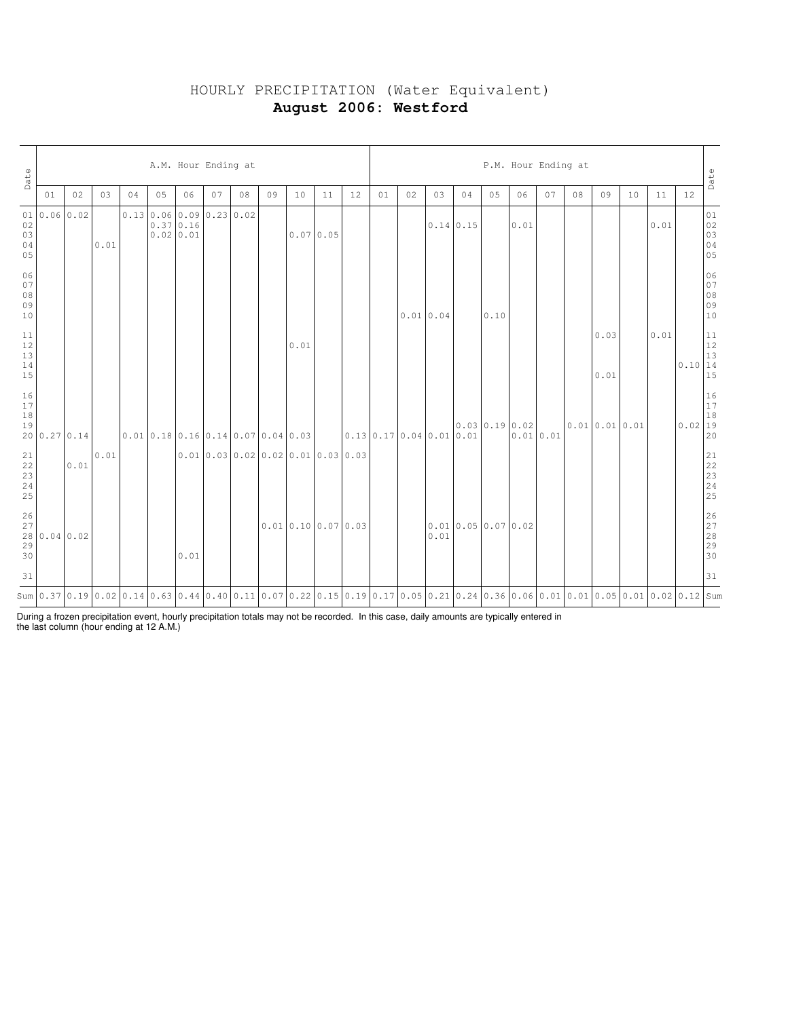# HOURLY PRECIPITATION (Water Equivalent) **August 2006: Westford**

| Date                                                      |              | A.M. Hour Ending at |      |    |    |                                                                        |    |    |    |      |                                    |    |                          |          |      | P.M. Hour Ending at                                                                                                                  |               |          |    |    |                      |    |      |                                                                |                                  |  |  |
|-----------------------------------------------------------|--------------|---------------------|------|----|----|------------------------------------------------------------------------|----|----|----|------|------------------------------------|----|--------------------------|----------|------|--------------------------------------------------------------------------------------------------------------------------------------|---------------|----------|----|----|----------------------|----|------|----------------------------------------------------------------|----------------------------------|--|--|
|                                                           | 01           | 02                  | 0.3  | 04 | 05 | 06                                                                     | 07 | 08 | 09 | 10   | 11                                 | 12 | 01                       | 02       | 03   | 04                                                                                                                                   | 05            | 06       | 07 | 08 | 09                   | 10 | 11   | 12                                                             | Date                             |  |  |
| 01<br>02<br>03<br>04<br>05                                |              | $0.06 \, 0.02$      | 0.01 |    |    | $0.13 \mid 0.06 \mid 0.09 \mid 0.23 \mid 0.02$<br>0.370.16<br>0.020.01 |    |    |    |      | 0.070.05                           |    |                          |          |      | $0.14 \mid 0.15$                                                                                                                     |               | 0.01     |    |    |                      |    | 0.01 |                                                                | 01<br>02<br>03<br>03<br>04<br>05 |  |  |
| 06<br>$07$<br>$08$<br>$09$<br>10                          |              |                     |      |    |    |                                                                        |    |    |    |      |                                    |    |                          | 0.010.04 |      |                                                                                                                                      | 0.10          |          |    |    |                      |    |      |                                                                | 06<br>07<br>08<br>09<br>09<br>10 |  |  |
| $\begin{array}{c} 11 \\ 12 \\ 13 \end{array}$<br>14<br>15 |              |                     |      |    |    |                                                                        |    |    |    | 0.01 |                                    |    |                          |          |      |                                                                                                                                      |               |          |    |    | 0.03<br>0.01         |    | 0.01 | $\begin{array}{c c} & 11 \\ 12 \\ 13 \\ 0.10 & 14 \end{array}$ | 15                               |  |  |
| $\begin{array}{c} 16 \\ 17 \\ 18 \end{array}$<br>19       | 20 0.27 0.14 |                     |      |    |    | [0.01]0.18]0.16]0.14]0.07]0.04]0.03                                    |    |    |    |      |                                    |    | 0.13 0.17 0.04 0.01 0.01 |          |      |                                                                                                                                      | 0.0300.190.02 | 0.010.01 |    |    | $0.01$ $0.01$ $0.01$ |    |      | $\begin{bmatrix} 16 \\ 17 \\ 18 \\ 0.02 \\ 19 \end{bmatrix}$   | 20                               |  |  |
| $\begin{array}{l} 21 \\ 22 \\ 23 \\ 24 \end{array}$<br>25 |              | 0.01                | 0.01 |    |    |                                                                        |    |    |    |      | 0.01 0.03 0.02 0.02 0.01 0.03 0.03 |    |                          |          |      |                                                                                                                                      |               |          |    |    |                      |    |      |                                                                |                                  |  |  |
| 26<br>27<br>$\begin{array}{c} 28 \\ 29 \end{array}$<br>30 | 0.04 0.02    |                     |      |    |    | 0.01                                                                   |    |    |    |      | $0.01$ 0.10 0.07 0.03              |    |                          |          | 0.01 | 0.010.050.070.02                                                                                                                     |               |          |    |    |                      |    |      |                                                                | 26<br>27<br>28<br>29<br>29<br>30 |  |  |
| 31                                                        |              |                     |      |    |    |                                                                        |    |    |    |      |                                    |    |                          |          |      |                                                                                                                                      |               |          |    |    |                      |    |      |                                                                | 31                               |  |  |
|                                                           |              |                     |      |    |    |                                                                        |    |    |    |      |                                    |    |                          |          |      | Sum 0.37 0.19 0.02 0.14 0.63 0.44 0.40 0.11 0.07 0.22 0.15 0.19 0.17 0.05 0.21 0.24 0.36 0.06 0.01 0.01 0.01 0.05 0.01 0.02 0.12 Sum |               |          |    |    |                      |    |      |                                                                |                                  |  |  |

During a frozen precipitation event, hourly precipitation totals may not be recorded. In this case, daily amounts are typically entered in the last column (hour ending at 12 A.M.)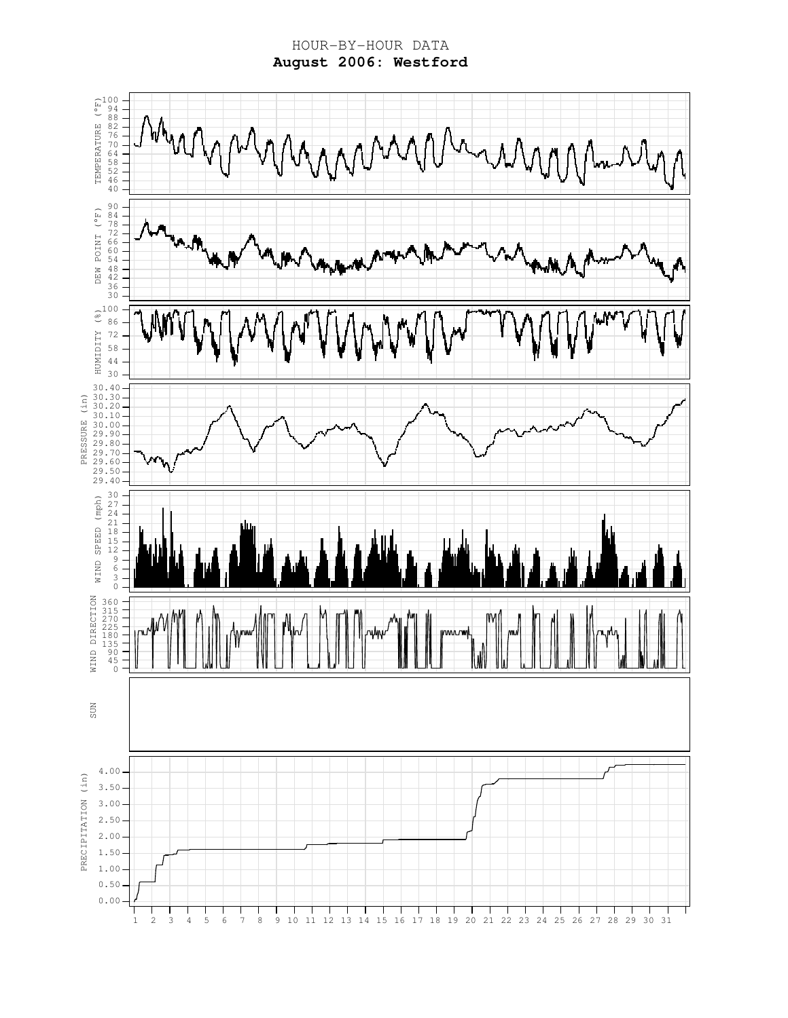HOUR-BY-HOUR DATA **August 2006: Westford**